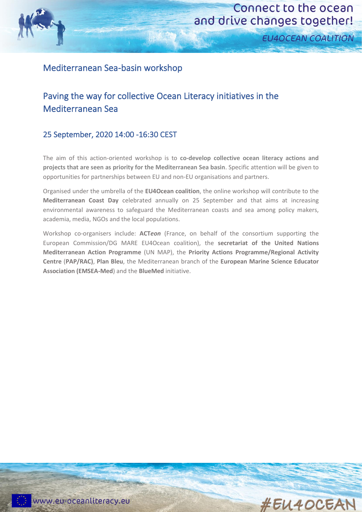

# Connect to the ocean and drive changes together!

**EU4OCEAN COALITION** 

## Mediterranean Sea-basin workshop

# Paving the way for collective Ocean Literacy initiatives in the Mediterranean Sea

#### 25 September, 2020 14:00 -16:30 CEST

The aim of this action-oriented workshop is to **co-develop collective ocean literacy actions and projects that are seen as priority for the Mediterranean Sea basin**. Specific attention will be given to opportunities for partnerships between EU and non-EU organisations and partners.

Organised under the umbrella of the **EU4Ocean coalition**, the online workshop will contribute to the **Mediterranean Coast Day** celebrated annually on 25 September and that aims at increasing environmental awareness to safeguard the Mediterranean coasts and sea among policy makers, academia, media, NGOs and the local populations.

Workshop co-organisers include: **ACT***eon* (France, on behalf of the consortium supporting the European Commission/DG MARE EU4Ocean coalition), the **secretariat of the United Nations Mediterranean Action Programme** (UN MAP), the **Priority Actions Programme/Regional Activity Centre** (**PAP/RAC)**, **Plan Bleu**, the Mediterranean branch of the **European Marine Science Educator Association (EMSEA-Med**) and the **BlueMed** initiative.